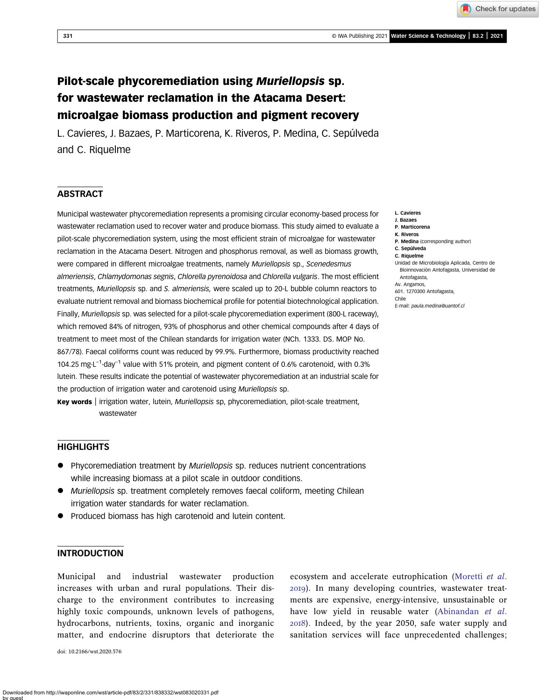Check for updates

# Pilot-scale phycoremediation using Muriellopsis sp. for wastewater reclamation in the Atacama Desert: microalgae biomass production and pigment recovery

L. Cavieres, J. Bazaes, P. Marticorena, K. Riveros, P. Medina, C. Sepúlveda and C. Riquelme

# **ABSTRACT**

Municipal wastewater phycoremediation represents a promising circular economy-based process for wastewater reclamation used to recover water and produce biomass. This study aimed to evaluate a pilot-scale phycoremediation system, using the most efficient strain of microalgae for wastewater reclamation in the Atacama Desert. Nitrogen and phosphorus removal, as well as biomass growth, were compared in different microalgae treatments, namely Muriellopsis sp., Scenedesmus almeriensis, Chlamydomonas segnis, Chlorella pyrenoidosa and Chlorella vulgaris. The most efficient treatments, Muriellopsis sp. and S. almeriensis, were scaled up to 20-L bubble column reactors to evaluate nutrient removal and biomass biochemical profile for potential biotechnological application. Finally, Muriellopsis sp. was selected for a pilot-scale phycoremediation experiment (800-L raceway), which removed 84% of nitrogen, 93% of phosphorus and other chemical compounds after 4 days of treatment to meet most of the Chilean standards for irrigation water (NCh. 1333. DS. MOP No. 867/78). Faecal coliforms count was reduced by 99.9%. Furthermore, biomass productivity reached 104.25 mg-L<sup>-1</sup>-day<sup>-1</sup> value with 51% protein, and pigment content of 0.6% carotenoid, with 0.3% lutein. These results indicate the potential of wastewater phycoremediation at an industrial scale for the production of irrigation water and carotenoid using Muriellopsis sp.

Key words | irrigation water, lutein, Muriellopsis sp, phycoremediation, pilot-scale treatment, wastewater

# **HIGHLIGHTS**

- Phycoremediation treatment by Muriellopsis sp. reduces nutrient concentrations while increasing biomass at a pilot scale in outdoor conditions.
- Muriellopsis sp. treatment completely removes faecal coliform, meeting Chilean irrigation water standards for water reclamation.
- Produced biomass has high carotenoid and lutein content.

# INTRODUCTION

Municipal and industrial wastewater production increases with urban and rural populations. Their discharge to the environment contributes to increasing highly toxic compounds, unknown levels of pathogens, hydrocarbons, nutrients, toxins, organic and inorganic matter, and endocrine disruptors that deteriorate the

doi: 10.2166/wst.2020.576

ecosystem and accelerate eutrophication ([Moretti](#page-11-0) et al. ). In many developing countries, wastewater treatments are expensive, energy-intensive, unsustainable or have low yield in reusable water ([Abinandan](#page-10-0) et al. ). Indeed, by the year 2050, safe water supply and sanitation services will face unprecedented challenges;

- L. Cavieres J. Bazaes
- P. Marticorena
- K. Riveros
	- P. Medina (corresponding author)
	- C. Sepúlveda
	- C. Riquelme
	- Unidad de Microbiología Aplicada, Centro de Bioinnovación Antofagasta, Universidad de Antofagasta,
	- Av. Angamos,

601. 1270300 Antofagasta, Chile

E-mail: [paula.medina@uantof.cl](mailto:paula.medina@uantof.cl)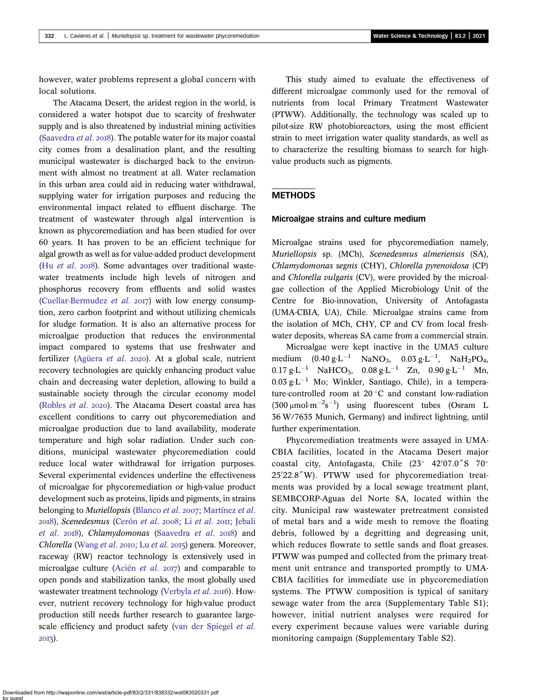however, water problems represent a global concern with local solutions.

The Atacama Desert, the aridest region in the world, is considered a water hotspot due to scarcity of freshwater supply and is also threatened by industrial mining activities ([Saavedra](#page-12-0) et al. 2018). The potable water for its major coastal city comes from a desalination plant, and the resulting municipal wastewater is discharged back to the environment with almost no treatment at all. Water reclamation in this urban area could aid in reducing water withdrawal, supplying water for irrigation purposes and reducing the environmental impact related to effluent discharge. The treatment of wastewater through algal intervention is known as phycoremediation and has been studied for over 60 years. It has proven to be an efficient technique for algal growth as well as for value-added product development (Hu [et al](#page-11-0).  $2018$ ). Some advantages over traditional wastewater treatments include high levels of nitrogen and phosphorus recovery from effluents and solid wastes ([Cuellar-Bermudez](#page-10-0) *et al.*  $2017$ ) with low energy consumption, zero carbon footprint and without utilizing chemicals for sludge formation. It is also an alternative process for microalgae production that reduces the environmental impact compared to systems that use freshwater and fertilizer [\(Agüera](#page-10-0) et al. 2020). At a global scale, nutrient recovery technologies are quickly enhancing product value chain and decreasing water depletion, allowing to build a sustainable society through the circular economy model ([Robles](#page-12-0) et al. 2020). The Atacama Desert coastal area has excellent conditions to carry out phycoremediation and microalgae production due to land availability, moderate temperature and high solar radiation. Under such conditions, municipal wastewater phycoremediation could reduce local water withdrawal for irrigation purposes. Several experimental evidences underline the effectiveness of microalgae for phycoremediation or high-value product development such as proteins, lipids and pigments, in strains belonging to Muriellopsis [\(Blanco](#page-10-0) et al. 2007; [Martínez](#page-11-0) et al. 2018), Scenedesmus ([Cerón](#page-10-0) [et al](#page-11-0). 2008; Li et al. 2011; [Jebali](#page-11-0) [et al](#page-11-0). 2018), Chlamydomonas [\(Saavedra](#page-12-0) et al. 2018) and Chlorella ([Wang](#page-12-0) [et al](#page-11-0). 2010; Lu et al. 2015) genera. Moreover, raceway (RW) reactor technology is extensively used in microalgae culture [\(Acién](#page-10-0) et al.  $2017$ ) and comparable to open ponds and stabilization tanks, the most globally used wastewater treatment technology ([Verbyla](#page-12-0) et al. 2016). However, nutrient recovery technology for high-value product production still needs further research to guarantee largescale efficiency and product safety ([van der Spiegel](#page-12-0) et al. 2013).

This study aimed to evaluate the effectiveness of different microalgae commonly used for the removal of nutrients from local Primary Treatment Wastewater (PTWW). Additionally, the technology was scaled up to pilot-size RW photobioreactors, using the most efficient strain to meet irrigation water quality standards, as well as to characterize the resulting biomass to search for highvalue products such as pigments.

# **METHODS**

#### Microalgae strains and culture medium

Microalgae strains used for phycoremediation namely, Muriellopsis sp. (MCh), Scenedesmus almeriensis (SA), Chlamydomonas segnis (CHY), Chlorella pyrenoidosa (CP) and Chlorella vulgaris (CV), were provided by the microalgae collection of the Applied Microbiology Unit of the Centre for Bio-innovation, University of Antofagasta (UMA-CBIA, UA), Chile. Microalgae strains came from the isolation of MCh, CHY, CP and CV from local freshwater deposits, whereas SA came from a commercial strain.

Microalgae were kept inactive in the UMA5 culture medium  $(0.40 \text{ g} \cdot \text{L}^{-1} \text{ NaNO}_3, 0.03 \text{ g} \cdot \text{L}^{-1}, \text{ NaH}_2\text{PO}_4,$  $0.17 \text{ g} \cdot \text{L}^{-1}$  NaHCO<sub>3</sub>,  $0.08 \text{ g} \cdot \text{L}^{-1}$  Zn,  $0.90 \text{ g} \cdot \text{L}^{-1}$  Mn,  $0.03 \text{ g} \cdot \text{L}^{-1}$  Mo; Winkler, Santiago, Chile), in a temperature-controlled room at 20 $\degree$ C and constant low-radiation  $(300 \mu \text{mol} \cdot \text{m}^{-2} \text{s}^{-1})$  using fluorescent tubes (Osram L 36 W/7635 Munich, Germany) and indirect lightning, until further experimentation.

Phycoremediation treatments were assayed in UMA-CBIA facilities, located in the Atacama Desert major coastal city, Antofagasta, Chile  $(23^{\circ}$  42'07.0"S 70 $^{\circ}$ 25'22.8"W). PTWW used for phycoremediation treatments was provided by a local sewage treatment plant, SEMBCORP-Aguas del Norte SA, located within the city. Municipal raw wastewater pretreatment consisted of metal bars and a wide mesh to remove the floating debris, followed by a degritting and degreasing unit, which reduces flowrate to settle sands and float greases. PTWW was pumped and collected from the primary treatment unit entrance and transported promptly to UMA-CBIA facilities for immediate use in phycoremediation systems. The PTWW composition is typical of sanitary sewage water from the area (Supplementary Table S1); however, initial nutrient analyses were required for every experiment because values were variable during monitoring campaign (Supplementary Table S2).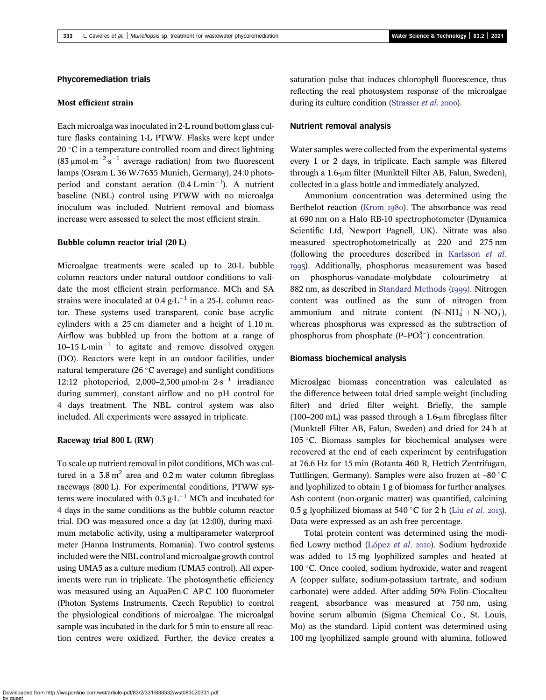# Phycoremediation trials

#### Most efficient strain

Each microalga was inoculated in 2-L round bottom glass culture flasks containing 1-L PTWW. Flasks were kept under  $20^{\circ}$ C in a temperature-controlled room and direct lightning (83  $\mu$ mol·m<sup>-2</sup>·s<sup>-1</sup> average radiation) from two fluorescent lamps (Osram L 36 W/7635 Munich, Germany), 24:0 photoperiod and constant aeration  $(0.4 \text{ L} \cdot \text{min}^{-1})$ . A nutrient baseline (NBL) control using PTWW with no microalga inoculum was included. Nutrient removal and biomass increase were assessed to select the most efficient strain.

## Bubble column reactor trial (20 L)

Microalgae treatments were scaled up to 20-L bubble column reactors under natural outdoor conditions to validate the most efficient strain performance. MCh and SA strains were inoculated at  $0.4 \text{ g} \cdot \text{L}^{-1}$  in a 25-L column reactor. These systems used transparent, conic base acrylic cylinders with a 25 cm diameter and a height of 1.10 m. Airflow was bubbled up from the bottom at a range of  $10-15$  L·min<sup>-1</sup> to agitate and remove dissolved oxygen (DO). Reactors were kept in an outdoor facilities, under natural temperature (26 $\degree$ C average) and sunlight conditions 12:12 photoperiod, 2,000–2,500  $\mu$ mol·m<sup>-2</sup>·s<sup>-1</sup> irradiance during summer), constant airflow and no pH control for 4 days treatment. The NBL control system was also included. All experiments were assayed in triplicate.

#### Raceway trial 800 L (RW)

To scale up nutrient removal in pilot conditions, MCh was cultured in a  $3.8 \text{ m}^2$  area and  $0.2 \text{ m}$  water column fibreglass raceways (800 L). For experimental conditions, PTWW systems were inoculated with  $0.3 \text{ g} \cdot \text{L}^{-1}$  MCh and incubated for 4 days in the same conditions as the bubble column reactor trial. DO was measured once a day (at 12:00), during maximum metabolic activity, using a multiparameter waterproof meter (Hanna Instruments, Romania). Two control systems included were the NBL control and microalgae growth control using UMA5 as a culture medium (UMA5 control). All experiments were run in triplicate. The photosynthetic efficiency was measured using an AquaPen-C AP-C 100 fluorometer (Photon Systems Instruments, Czech Republic) to control the physiological conditions of microalgae. The microalgal sample was incubated in the dark for 5 min to ensure all reaction centres were oxidized. Further, the device creates a saturation pulse that induces chlorophyll fluorescence, thus reflecting the real photosystem response of the microalgae during its culture condition [\(Strasser](#page-12-0) et al. 2000).

#### Nutrient removal analysis

Water samples were collected from the experimental systems every 1 or 2 days, in triplicate. Each sample was filtered through a 1.6-μm filter (Munktell Filter AB, Falun, Sweden), collected in a glass bottle and immediately analyzed.

Ammonium concentration was determined using the Berthelot reaction ([Krom](#page-11-0) 1980). The absorbance was read at 690 nm on a Halo RB-10 spectrophotometer (Dynamica Scientific Ltd, Newport Pagnell, UK). Nitrate was also measured spectrophotometrically at 220 and 275 nm (following the procedures described in [Karlsson](#page-11-0) et al. ). Additionally, phosphorus measurement was based on phosphorus–vanadate–molybdate colourimetry at 882 nm, as described in [Standard Methods \(](#page-10-0)1999). Nitrogen content was outlined as the sum of nitrogen from ammonium and nitrate content  $(N-NH_4^+ + N-NO_3^-)$ , whereas phosphorus was expressed as the subtraction of phosphorus from phosphate  $(P-PO<sub>4</sub><sup>3-</sup>)$  concentration.

#### Biomass biochemical analysis

Microalgae biomass concentration was calculated as the difference between total dried sample weight (including filter) and dried filter weight. Briefly, the sample (100–200 mL) was passed through a 1.6-μm fibreglass filter (Munktell Filter AB, Falun, Sweden) and dried for 24 h at  $105$  °C. Biomass samples for biochemical analyses were recovered at the end of each experiment by centrifugation at 76.6 Hz for 15 min (Rotanta 460 R, Hettich Zentrifugan, Tuttlingen, Germany). Samples were also frozen at  $-80$  °C and lyophilized to obtain 1 g of biomass for further analyses. Ash content (non-organic matter) was quantified, calcining 0.5 g lyophilized biomass at 540 °C for 2 h (Liu *[et al](#page-11-0).* 2015). Data were expressed as an ash-free percentage.

Total protein content was determined using the modi-fied Lowry method ([López](#page-11-0) et al. 2010). Sodium hydroxide was added to 15 mg lyophilized samples and heated at 100 $\degree$ C. Once cooled, sodium hydroxide, water and reagent A (copper sulfate, sodium-potassium tartrate, and sodium carbonate) were added. After adding 50% Folin–Ciocalteu reagent, absorbance was measured at 750 nm, using bovine serum albumin (Sigma Chemical Co., St. Louis, Mo) as the standard. Lipid content was determined using 100 mg lyophilized sample ground with alumina, followed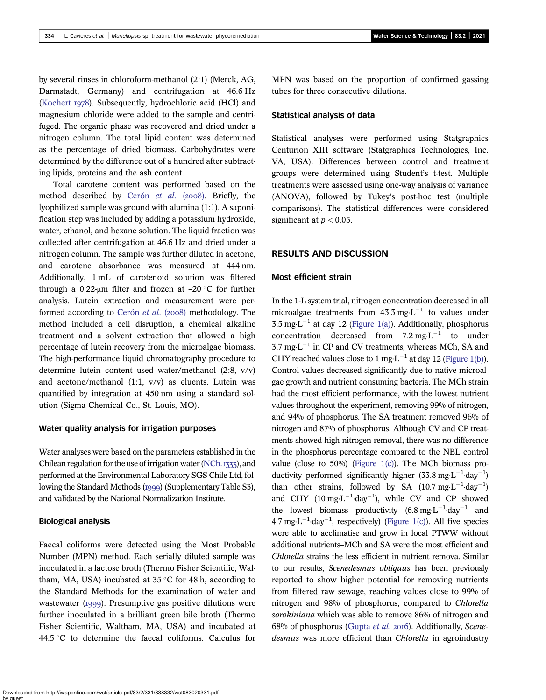by several rinses in chloroform-methanol (2:1) (Merck, AG, Darmstadt, Germany) and centrifugation at 46.6 Hz ([Kochert](#page-11-0) 1978). Subsequently, hydrochloric acid (HCl) and magnesium chloride were added to the sample and centrifuged. The organic phase was recovered and dried under a nitrogen column. The total lipid content was determined as the percentage of dried biomass. Carbohydrates were determined by the difference out of a hundred after subtracting lipids, proteins and the ash content.

Total carotene content was performed based on the method described by [Cerón](#page-10-0) et al. (2008). Briefly, the lyophilized sample was ground with alumina (1:1). A saponification step was included by adding a potassium hydroxide, water, ethanol, and hexane solution. The liquid fraction was collected after centrifugation at 46.6 Hz and dried under a nitrogen column. The sample was further diluted in acetone, and carotene absorbance was measured at 444 nm. Additionally, 1 mL of carotenoid solution was filtered through a 0.22-μm filter and frozen at  $-20$  °C for further analysis. Lutein extraction and measurement were per-formed according to [Cerón](#page-10-0) *et al.* (2008) methodology. The method included a cell disruption, a chemical alkaline treatment and a solvent extraction that allowed a high percentage of lutein recovery from the microalgae biomass. The high-performance liquid chromatography procedure to determine lutein content used water/methanol (2:8, v/v) and acetone/methanol (1:1, v/v) as eluents. Lutein was quantified by integration at 450 nm using a standard solution (Sigma Chemical Co., St. Louis, MO).

#### Water quality analysis for irrigation purposes

Water analyses were based on the parameters established in the Chilean regulation for the use of irrigation water [\(NCh.](#page-11-0)  $_{1333}$ ), and performed at the Environmental Laboratory SGS Chile Ltd, following the Standard Methods (1999) (Supplementary Table S3), and validated by the National Normalization Institute.

#### Biological analysis

Faecal coliforms were detected using the Most Probable Number (MPN) method. Each serially diluted sample was inoculated in a lactose broth (Thermo Fisher Scientific, Waltham, MA, USA) incubated at  $35^{\circ}$ C for 48 h, according to the Standard Methods for the examination of water and wastewater  $(1999)$ . Presumptive gas positive dilutions were further inoculated in a brilliant green bile broth (Thermo Fisher Scientific, Waltham, MA, USA) and incubated at 44.5 °C to determine the faecal coliforms. Calculus for MPN was based on the proportion of confirmed gassing tubes for three consecutive dilutions.

## Statistical analysis of data

Statistical analyses were performed using Statgraphics Centurion XIII software (Statgraphics Technologies, Inc. VA, USA). Differences between control and treatment groups were determined using Student's t-test. Multiple treatments were assessed using one-way analysis of variance (ANOVA), followed by Tukey's post-hoc test (multiple comparisons). The statistical differences were considered significant at  $p < 0.05$ .

# RESULTS AND DISCUSSION

#### Most efficient strain

In the 1-L system trial, nitrogen concentration decreased in all microalgae treatments from  $43.3 \text{ mg} \cdot \text{L}^{-1}$  to values under  $3.5 \text{ mg} \cdot \text{L}^{-1}$  at day 12 ([Figure 1\(a\)](#page-4-0)). Additionally, phosphorus concentration decreased from  $7.2 \text{ mg} \cdot \text{L}^{-1}$  to under  $3.7 \text{ mg} \cdot \text{L}^{-1}$  in CP and CV treatments, whereas MCh, SA and CHY reached values close to 1 mg $\text{L}^{-1}$  at day 12 [\(Figure 1\(b\)](#page-4-0)). Control values decreased significantly due to native microalgae growth and nutrient consuming bacteria. The MCh strain had the most efficient performance, with the lowest nutrient values throughout the experiment, removing 99% of nitrogen, and 94% of phosphorus. The SA treatment removed 96% of nitrogen and 87% of phosphorus. Although CV and CP treatments showed high nitrogen removal, there was no difference in the phosphorus percentage compared to the NBL control value (close to 50%) [\(Figure 1\(c\)](#page-4-0)). The MCh biomass productivity performed significantly higher  $(33.8 \text{ mg} \cdot \text{L}^{-1} \cdot \text{day}^{-1})$ than other strains, followed by SA  $(10.7 \text{ mg} \cdot \text{L}^{-1} \cdot \text{day}^{-1})$ and CHY  $(10 \text{ mg} \cdot \text{L}^{-1} \cdot \text{day}^{-1})$ , while CV and CP showed the lowest biomass productivity  $(6.8 \text{ mg} \cdot \text{L}^{-1} \cdot \text{day}^{-1})$  and 4.7 mg $L^{-1}$ ·day<sup>-1</sup>, respectively) [\(Figure 1\(c\)](#page-4-0)). All five species were able to acclimatise and grow in local PTWW without additional nutrients–MCh and SA were the most efficient and Chlorella strains the less efficient in nutrient remova. Similar to our results, Scenedesmus obliquus has been previously reported to show higher potential for removing nutrients from filtered raw sewage, reaching values close to 99% of nitrogen and 98% of phosphorus, compared to Chlorella sorokiniana which was able to remove 86% of nitrogen and 68% of phosphorus [\(Gupta](#page-11-0) et al. 2016). Additionally, Scenedesmus was more efficient than Chlorella in agroindustry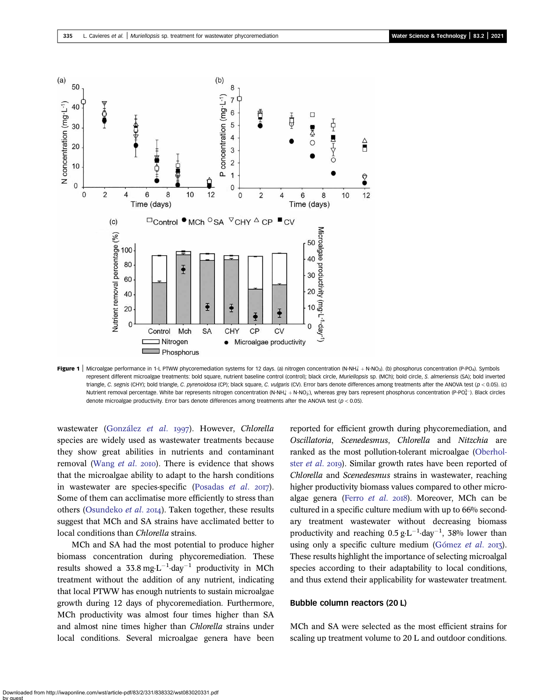<span id="page-4-0"></span>

Figure 1 | Microalgae performance in 1-L PTWW phycoremediation systems for 12 days. (a) nitrogen concentration (N-NH $^+_4$  + N-NO<sub>3</sub>). (b) phosphorus concentration (P-PO<sub>4</sub>). Symbols represent different microalgae treatments: bold square, nutrient baseline control (control); black circle, Muriellopsis sp. (MCh); bold circle, S. almeriensis (SA); bold inverted triangle, C. segnis (CHY); bold triangle, C. pyrenoidosa (CP); black square, C. vulgaris (CV). Error bars denote differences among treatments after the ANOVA test (p < 0.05). (c) Nutrient removal percentage. White bar represents nitrogen concentration (N-NH $_4$  + N-NO<sub>3</sub>), whereas grey bars represent phosphorus concentration (P-PO $_4^3$ -). Black circles denote microalgae productivity. Error bars denote differences among treatments after the ANOVA test ( $p < 0.05$ ).

wastewater ([González](#page-11-0) et al. 1997). However, Chlorella species are widely used as wastewater treatments because they show great abilities in nutrients and contaminant removal [\(Wang](#page-12-0) et al. 2010). There is evidence that shows that the microalgae ability to adapt to the harsh conditions in wastewater are species-specific [\(Posadas](#page-12-0)  $et$  al.  $2017$ ). Some of them can acclimatise more efficiently to stress than others [\(Osundeko](#page-11-0) et al. 2014). Taken together, these results suggest that MCh and SA strains have acclimated better to local conditions than Chlorella strains.

MCh and SA had the most potential to produce higher biomass concentration during phycoremediation. These results showed a  $33.8 \text{ mg} \cdot \text{L}^{-1} \cdot \text{day}^{-1}$  productivity in MCh treatment without the addition of any nutrient, indicating that local PTWW has enough nutrients to sustain microalgae growth during 12 days of phycoremediation. Furthermore, MCh productivity was almost four times higher than SA and almost nine times higher than Chlorella strains under local conditions. Several microalgae genera have been reported for efficient growth during phycoremediation, and Oscillatoria, Scenedesmus, Chlorella and Nitzchia are ranked as the most pollution-tolerant microalgae [\(Oberhol](#page-11-0)ster *[et al](#page-11-0).* 2019). Similar growth rates have been reported of Chlorella and Scenedesmus strains in wastewater, reaching higher productivity biomass values compared to other micro-algae genera ([Ferro](#page-11-0) et al. 2018). Moreover, MCh can be cultured in a specific culture medium with up to 66% secondary treatment wastewater without decreasing biomass productivity and reaching  $0.5 g \cdot L^{-1}$  day<sup>-1</sup>, 38% lower than using only a specific culture medium [\(Gómez](#page-11-0) et al.  $2017$ ). These results highlight the importance of selecting microalgal species according to their adaptability to local conditions, and thus extend their applicability for wastewater treatment.

#### Bubble column reactors (20 L)

MCh and SA were selected as the most efficient strains for scaling up treatment volume to 20 L and outdoor conditions.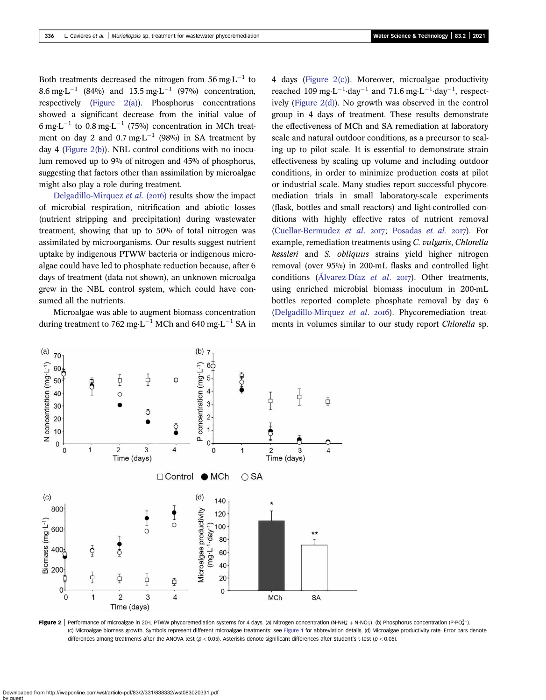Both treatments decreased the nitrogen from 56 mg $L^{-1}$  to 8.6 mg·L<sup>-1</sup> (84%) and 13.5 mg·L<sup>-1</sup> (97%) concentration, respectively (Figure 2(a)). Phosphorus concentrations showed a significant decrease from the initial value of 6 mg·L<sup>-1</sup> to 0.8 mg·L<sup>-1</sup> (75%) concentration in MCh treatment on day 2 and 0.7 mg·L<sup>-1</sup> (98%) in SA treatment by day 4 (Figure 2(b)). NBL control conditions with no inoculum removed up to 9% of nitrogen and 45% of phosphorus, suggesting that factors other than assimilation by microalgae might also play a role during treatment.

[Delgadillo-Mirquez](#page-10-0) et al. (2016) results show the impact of microbial respiration, nitrification and abiotic losses (nutrient stripping and precipitation) during wastewater treatment, showing that up to 50% of total nitrogen was assimilated by microorganisms. Our results suggest nutrient uptake by indigenous PTWW bacteria or indigenous microalgae could have led to phosphate reduction because, after 6 days of treatment (data not shown), an unknown microalga grew in the NBL control system, which could have consumed all the nutrients.

Microalgae was able to augment biomass concentration during treatment to 762 mg $\cdot$ L<sup>-1</sup> MCh and 640 mg $\cdot$ L<sup>-1</sup> SA in 4 days (Figure 2(c)). Moreover, microalgae productivity reached 109 mg·L<sup>-1</sup>·day<sup>-1</sup> and 71.6 mg·L<sup>-1</sup>·day<sup>-1</sup>, respectively (Figure 2(d)). No growth was observed in the control group in 4 days of treatment. These results demonstrate the effectiveness of MCh and SA remediation at laboratory scale and natural outdoor conditions, as a precursor to scaling up to pilot scale. It is essential to demonstrate strain effectiveness by scaling up volume and including outdoor conditions, in order to minimize production costs at pilot or industrial scale. Many studies report successful phycoremediation trials in small laboratory-scale experiments (flask, bottles and small reactors) and light-controlled conditions with highly effective rates of nutrient removal ([Cuellar-Bermudez](#page-10-0) et al.  $2017$ ; [Posadas](#page-12-0) et al.  $2017$ ). For example, remediation treatments using C. vulgaris, Chlorella kessleri and S. obliquus strains yield higher nitrogen removal (over 95%) in 200-mL flasks and controlled light conditions [\(Álvarez-Díaz](#page-10-0) et al. 2017). Other treatments, using enriched microbial biomass inoculum in 200-mL bottles reported complete phosphate removal by day 6 ([Delgadillo-Mirquez](#page-10-0) et al. 2016). Phycoremediation treatments in volumes similar to our study report Chlorella sp.



Figure 2 | Performance of microalgae in 20-L PTWW phycoremediation systems for 4 days. (a) Nitrogen concentration (N-NH $_4^+$  + N-NO $_3$ ). (b) Phosphorus concentration (P-PO $_4^2$ -). (c) Microalgae biomass growth. Symbols represent different microalgae treatments: see [Figure 1](#page-4-0) for abbreviation details. (d) Microalgae productivity rate. Error bars denote differences among treatments after the ANOVA test ( $p < 0.05$ ). Asterisks denote significant differences after Student's t-test ( $p < 0.05$ ).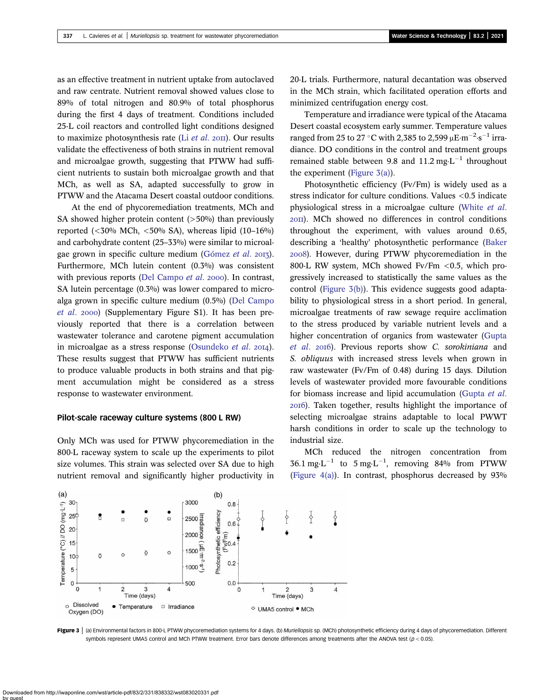as an effective treatment in nutrient uptake from autoclaved and raw centrate. Nutrient removal showed values close to 89% of total nitrogen and 80.9% of total phosphorus during the first 4 days of treatment. Conditions included 25-L coil reactors and controlled light conditions designed to maximize photosynthesis rate (Li  $et$  al.  $20$ III). Our results validate the effectiveness of both strains in nutrient removal and microalgae growth, suggesting that PTWW had sufficient nutrients to sustain both microalgae growth and that MCh, as well as SA, adapted successfully to grow in PTWW and the Atacama Desert coastal outdoor conditions.

At the end of phycoremediation treatments, MCh and SA showed higher protein content  $($ >50%) than previously reported  $( $30\%$  MCh,  $<50\%$  SA$ ), whereas lipid  $(10-16\%)$ and carbohydrate content (25–33%) were similar to microal-gae grown in specific culture medium [\(Gómez](#page-11-0) et al. 2013). Furthermore, MCh lutein content (0.3%) was consistent with previous reports ([Del Campo](#page-10-0) et al. 2000). In contrast, SA lutein percentage (0.3%) was lower compared to microalga grown in specific culture medium (0.5%) ([Del Campo](#page-10-0) *[et al](#page-10-0).* 2000) (Supplementary Figure S1). It has been previously reported that there is a correlation between wastewater tolerance and carotene pigment accumulation in microalgae as a stress response ([Osundeko](#page-11-0) *et al.* 2014). These results suggest that PTWW has sufficient nutrients to produce valuable products in both strains and that pigment accumulation might be considered as a stress response to wastewater environment.

#### Pilot-scale raceway culture systems (800 L RW)

Only MCh was used for PTWW phycoremediation in the 800-L raceway system to scale up the experiments to pilot size volumes. This strain was selected over SA due to high nutrient removal and significantly higher productivity in 20-L trials. Furthermore, natural decantation was observed in the MCh strain, which facilitated operation efforts and minimized centrifugation energy cost.

Temperature and irradiance were typical of the Atacama Desert coastal ecosystem early summer. Temperature values ranged from 25 to 27 °C with 2,385 to 2,599  $\mu$ E·m<sup>-2</sup>·s<sup>-1</sup> irradiance. DO conditions in the control and treatment groups remained stable between 9.8 and 11.2 mg $L^{-1}$  throughout the experiment (Figure 3(a)).

Photosynthetic efficiency (Fv/Fm) is widely used as a stress indicator for culture conditions. Values <0.5 indicate physiological stress in a microalgae culture [\(White](#page-12-0) et al. ). MCh showed no differences in control conditions throughout the experiment, with values around 0.65, describing a 'healthy' photosynthetic performance ([Baker](#page-10-0) ). However, during PTWW phycoremediation in the 800-L RW system, MCh showed Fv/Fm <0.5, which progressively increased to statistically the same values as the control (Figure 3(b)). This evidence suggests good adaptability to physiological stress in a short period. In general, microalgae treatments of raw sewage require acclimation to the stress produced by variable nutrient levels and a higher concentration of organics from wastewater ([Gupta](#page-11-0) [et al](#page-11-0). 2016). Previous reports show C. sorokiniana and S. obliquus with increased stress levels when grown in raw wastewater (Fv/Fm of 0.48) during 15 days. Dilution levels of wastewater provided more favourable conditions for biomass increase and lipid accumulation ([Gupta](#page-11-0) et al. ). Taken together, results highlight the importance of selecting microalgae strains adaptable to local PWWT harsh conditions in order to scale up the technology to industrial size.

MCh reduced the nitrogen concentration from  $36.1 \text{ mg} \cdot \text{L}^{-1}$  to  $5 \text{ mg} \cdot \text{L}^{-1}$ , removing 84% from PTWW [\(Figure 4\(a\)](#page-7-0)). In contrast, phosphorus decreased by 93%



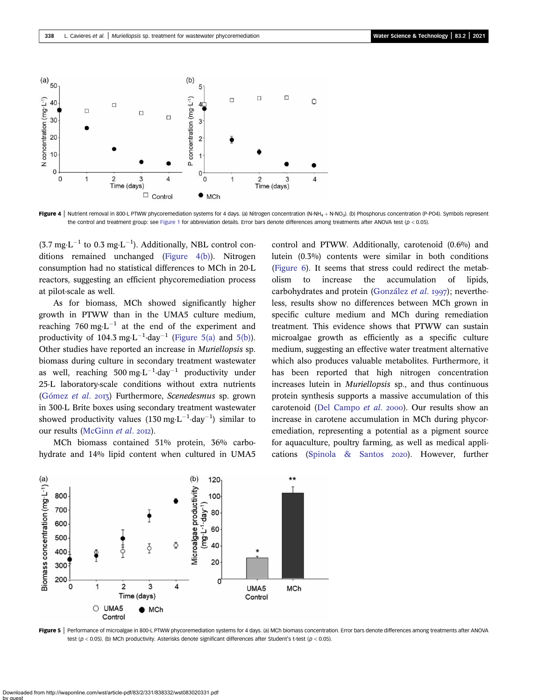<span id="page-7-0"></span>

Figure 4 | Nutrient removal in 800-L PTWW phycoremediation systems for 4 days. (a) Nitrogen concentration (N-NH<sub>4</sub> + N-NO<sub>3</sub>). (b) Phosphorus concentration (P-PO4). Symbols represent the control and treatment group: see [Figure 1](#page-4-0) for abbreviation details. Error bars denote differences among treatments after ANOVA test ( $p < 0.05$ ).

 $(3.7 \text{ mg} \cdot \text{L}^{-1} \text{ to } 0.3 \text{ mg} \cdot \text{L}^{-1})$ . Additionally, NBL control conditions remained unchanged (Figure 4(b)). Nitrogen consumption had no statistical differences to MCh in 20-L reactors, suggesting an efficient phycoremediation process at pilot-scale as well.

As for biomass, MCh showed significantly higher growth in PTWW than in the UMA5 culture medium, reaching 760 mg·L<sup>-1</sup> at the end of the experiment and productivity of 104.3 mg $\text{L}^{-1}$ -day<sup>-1</sup> (Figure 5(a) and 5(b)). Other studies have reported an increase in Muriellopsis sp. biomass during culture in secondary treatment wastewater as well, reaching 500 mg $\cdot L^{-1}$ ·day<sup>-1</sup> productivity under 25-L laboratory-scale conditions without extra nutrients ([Gómez](#page-11-0) et al. 2013) Furthermore, Scenedesmus sp. grown in 300-L Brite boxes using secondary treatment wastewater showed productivity values  $(130 \text{ mg} \cdot \text{L}^{-1} \cdot \text{day}^{-1})$  similar to our results ([McGinn](#page-11-0) et al. 2012).

MCh biomass contained 51% protein, 36% carbohydrate and 14% lipid content when cultured in UMA5 control and PTWW. Additionally, carotenoid (0.6%) and lutein (0.3%) contents were similar in both conditions ([Figure 6\)](#page-8-0). It seems that stress could redirect the metabolism to increase the accumulation of lipids, carbohydrates and protein [\(González](#page-11-0) et al. 1997); nevertheless, results show no differences between MCh grown in specific culture medium and MCh during remediation treatment. This evidence shows that PTWW can sustain microalgae growth as efficiently as a specific culture medium, suggesting an effective water treatment alternative which also produces valuable metabolites. Furthermore, it has been reported that high nitrogen concentration increases lutein in Muriellopsis sp., and thus continuous protein synthesis supports a massive accumulation of this carotenoid [\(Del Campo](#page-10-0) et al. 2000). Our results show an increase in carotene accumulation in MCh during phycoremediation, representing a potential as a pigment source for aquaculture, poultry farming, as well as medical appli-cations [\(Spinola & Santos](#page-12-0) 2020). However, further



Figure 5 | Performance of microalgae in 800-L PTWW phycoremediation systems for 4 days. (a) MCh biomass concentration. Error bars denote differences among treatments after ANOVA test ( $p < 0.05$ ). (b) MCh productivity. Asterisks denote significant differences after Student's t-test ( $p < 0.05$ ).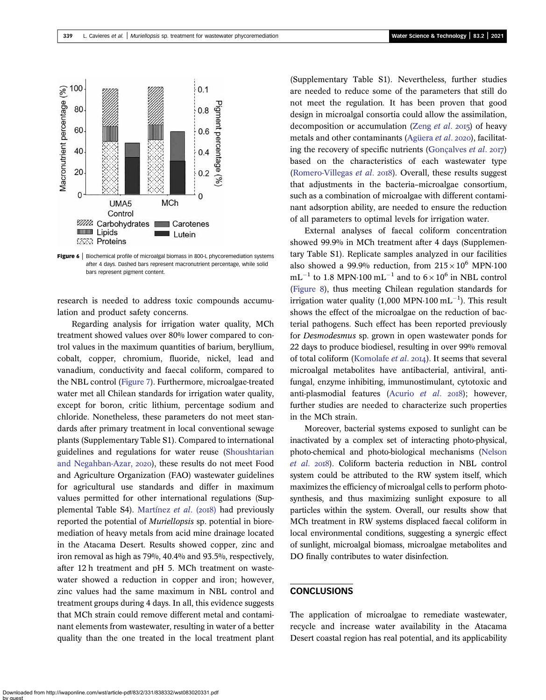<span id="page-8-0"></span>

Figure 6 | Biochemical profile of microalgal biomass in 800-L phycoremediation systems after 4 days. Dashed bars represent macronutrient percentage, while solid bars represent pigment content.

research is needed to address toxic compounds accumulation and product safety concerns.

Regarding analysis for irrigation water quality, MCh treatment showed values over 80% lower compared to control values in the maximum quantities of barium, beryllium, cobalt, copper, chromium, fluoride, nickel, lead and vanadium, conductivity and faecal coliform, compared to the NBL control [\(Figure 7\)](#page-9-0). Furthermore, microalgae-treated water met all Chilean standards for irrigation water quality, except for boron, critic lithium, percentage sodium and chloride. Nonetheless, these parameters do not meet standards after primary treatment in local conventional sewage plants (Supplementary Table S1). Compared to international guidelines and regulations for water reuse [\(Shoushtarian](#page-12-0) [and Negahban-Azar,](#page-12-0) 2020), these results do not meet Food and Agriculture Organization (FAO) wastewater guidelines for agricultural use standards and differ in maximum values permitted for other international regulations (Sup-plemental Table S4). [Martínez](#page-11-0) et al.  $(2018)$  had previously reported the potential of Muriellopsis sp. potential in bioremediation of heavy metals from acid mine drainage located in the Atacama Desert. Results showed copper, zinc and iron removal as high as 79%, 40.4% and 93.5%, respectively, after 12 h treatment and pH 5. MCh treatment on wastewater showed a reduction in copper and iron; however, zinc values had the same maximum in NBL control and treatment groups during 4 days. In all, this evidence suggests that MCh strain could remove different metal and contaminant elements from wastewater, resulting in water of a better quality than the one treated in the local treatment plant (Supplementary Table S1). Nevertheless, further studies are needed to reduce some of the parameters that still do not meet the regulation. It has been proven that good design in microalgal consortia could allow the assimilation, decomposition or accumulation ([Zeng](#page-12-0) et al. 2015) of heavy metals and other contaminants ([Agüera](#page-10-0) et al. 2020), facilitating the recovery of specific nutrients (Goncalves *et al.*  $2017$ ) based on the characteristics of each wastewater type [\(Romero-Villegas](#page-12-0) et al. 2018). Overall, these results suggest that adjustments in the bacteria–microalgae consortium, such as a combination of microalgae with different contaminant adsorption ability, are needed to ensure the reduction of all parameters to optimal levels for irrigation water.

External analyses of faecal coliform concentration showed 99.9% in MCh treatment after 4 days (Supplementary Table S1). Replicate samples analyzed in our facilities also showed a 99.9% reduction, from  $215 \times 10^6$  MPN·100  $mL^{-1}$  to 1.8 MPN·100 mL<sup>-1</sup> and to  $6 \times 10^6$  in NBL control [\(Figure 8](#page-10-0)), thus meeting Chilean regulation standards for irrigation water quality (1,000 MPN $\cdot$ 100 mL $^{-1}$ ). This result shows the effect of the microalgae on the reduction of bacterial pathogens. Such effect has been reported previously for Desmodesmus sp. grown in open wastewater ponds for 22 days to produce biodiesel, resulting in over 99% removal of total coliform [\(Komolafe](#page-11-0) et al. 2014). It seems that several microalgal metabolites have antibacterial, antiviral, antifungal, enzyme inhibiting, immunostimulant, cytotoxic and anti-plasmodial features ([Acurio](#page-10-0) et al.  $2018$ ); however, further studies are needed to characterize such properties in the MCh strain.

Moreover, bacterial systems exposed to sunlight can be inactivated by a complex set of interacting photo-physical, photo-chemical and photo-biological mechanisms ([Nelson](#page-11-0) [et al](#page-11-0). 2018). Coliform bacteria reduction in NBL control system could be attributed to the RW system itself, which maximizes the efficiency of microalgal cells to perform photosynthesis, and thus maximizing sunlight exposure to all particles within the system. Overall, our results show that MCh treatment in RW systems displaced faecal coliform in local environmental conditions, suggesting a synergic effect of sunlight, microalgal biomass, microalgae metabolites and DO finally contributes to water disinfection.

# **CONCLUSIONS**

The application of microalgae to remediate wastewater, recycle and increase water availability in the Atacama Desert coastal region has real potential, and its applicability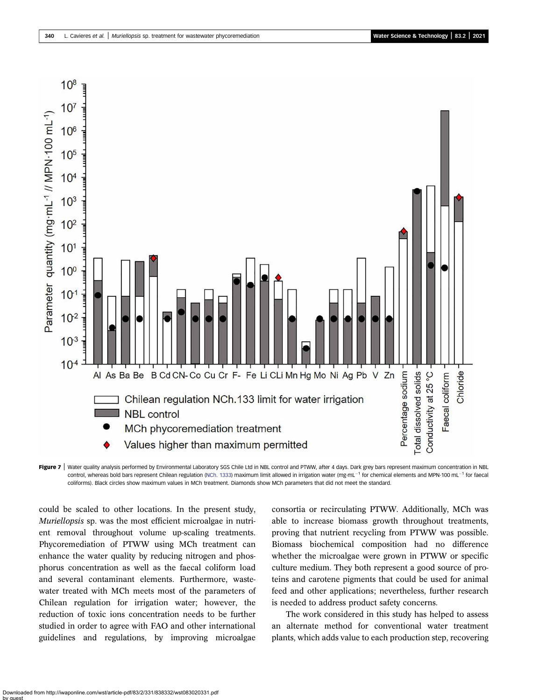<span id="page-9-0"></span>

Figure 7 | Water quality analysis performed by Environmental Laboratory SGS Chile Ltd in NBL control and PTWW, after 4 days. Dark grey bars represent maximum concentration in NBL control, whereas bold bars represent Chilean regulation [\(NCh. 1333](#page-11-0)) maximum limit allowed in irrigation water (mg·mL<sup>-1</sup> for chemical elements and MPN·100 mL<sup>-1</sup> for faecal coliforms). Black circles show maximum values in MCh treatment. Diamonds show MCh parameters that did not meet the standard.

could be scaled to other locations. In the present study, Muriellopsis sp. was the most efficient microalgae in nutrient removal throughout volume up-scaling treatments. Phycoremediation of PTWW using MCh treatment can enhance the water quality by reducing nitrogen and phosphorus concentration as well as the faecal coliform load and several contaminant elements. Furthermore, wastewater treated with MCh meets most of the parameters of Chilean regulation for irrigation water; however, the reduction of toxic ions concentration needs to be further studied in order to agree with FAO and other international guidelines and regulations, by improving microalgae consortia or recirculating PTWW. Additionally, MCh was able to increase biomass growth throughout treatments, proving that nutrient recycling from PTWW was possible. Biomass biochemical composition had no difference whether the microalgae were grown in PTWW or specific culture medium. They both represent a good source of proteins and carotene pigments that could be used for animal feed and other applications; nevertheless, further research is needed to address product safety concerns.

The work considered in this study has helped to assess an alternate method for conventional water treatment plants, which adds value to each production step, recovering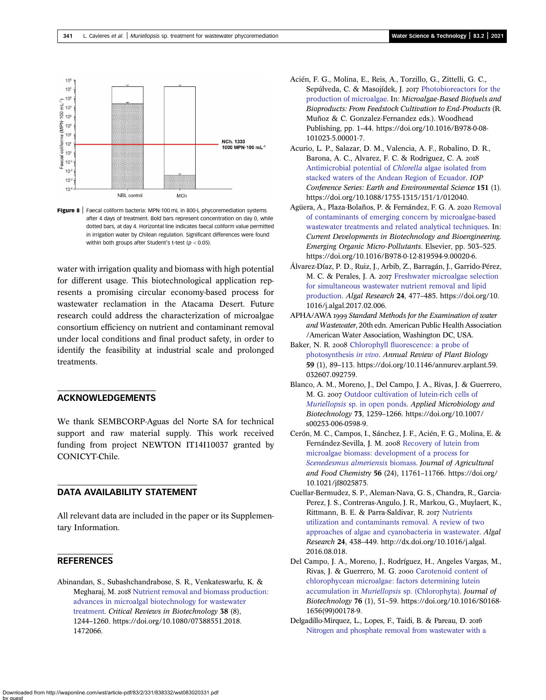<span id="page-10-0"></span>

Figure 8 | Faecal coliform bacteria: MPN-100 mL in 800-L phycoremediation systems after 4 days of treatment. Bold bars represent concentration on day 0, while dotted bars, at day 4. Horizontal line indicates faecal coliform value permitted in irrigation water by Chilean regulation. Significant differences were found within both groups after Student's t-test ( $p < 0.05$ ).

water with irrigation quality and biomass with high potential for different usage. This biotechnological application represents a promising circular economy-based process for wastewater reclamation in the Atacama Desert. Future research could address the characterization of microalgae consortium efficiency on nutrient and contaminant removal under local conditions and final product safety, in order to identify the feasibility at industrial scale and prolonged treatments.

# ACKNOWLEDGEMENTS

We thank SEMBCORP-Aguas del Norte SA for technical support and raw material supply. This work received funding from project NEWTON IT14I10037 granted by CONICYT-Chile.

## DATA AVAILABILITY STATEMENT

All relevant data are included in the paper or its Supplementary Information.

# **REFERENCES**

Abinandan, S., Subashchandrabose, S. R., Venkateswarlu, K. & Megharaj, M. 2018 [Nutrient removal and biomass production:](http://dx.doi.org/10.1080/07388551.2018.1472066) [advances in microalgal biotechnology for wastewater](http://dx.doi.org/10.1080/07388551.2018.1472066) [treatment.](http://dx.doi.org/10.1080/07388551.2018.1472066) Critical Reviews in Biotechnology 38 (8), 1244–1260. https://doi.org/10.1080/07388551.2018. 1472066.

- Acién, F. G., Molina, E., Reis, A., Torzillo, G., Zittelli, G. C., Sepúlveda, C. & Masojídek, J. 2017 [Photobioreactors for the](http://dx.doi.org/10.1016/B978-0-08-101023-5.00001-7) [production of microalgae](http://dx.doi.org/10.1016/B978-0-08-101023-5.00001-7). In: Microalgae-Based Biofuels and Bioproducts: From Feedstock Cultivation to End-Products (R. Muñoz & C. Gonzalez-Fernandez eds.). Woodhead Publishing, pp. 1–44. https://doi.org/10.1016/B978-0-08- 101023-5.00001-7.
- Acurio, L. P., Salazar, D. M., Valencia, A. F., Robalino, D. R., Barona, A. C., Alvarez, F. C. & Rodriguez, C. A. [Antimicrobial potential of](https://dx.doi.org/10.1088/1755-1315/151/1/012040) Chlorella algae isolated from [stacked waters of the Andean Region of Ecuador](https://dx.doi.org/10.1088/1755-1315/151/1/012040). IOP Conference Series: Earth and Environmental Science 151 (1). https://doi.org/10.1088/1755-1315/151/1/012040.
- Agüera, A., Plaza-Bolaños, P. & Fernández, F. G. A. 2020 [Removal](http://dx.doi.org/10.1016/B978-0-12-819594-9.00020-6) [of contaminants of emerging concern by microalgae-based](http://dx.doi.org/10.1016/B978-0-12-819594-9.00020-6) [wastewater treatments and related analytical techniques.](http://dx.doi.org/10.1016/B978-0-12-819594-9.00020-6) In: Current Developments in Biotechnology and Bioengineering. Emerging Organic Micro-Pollutants. Elsevier, pp. 503–525. https://doi.org/10.1016/B978-0-12-819594-9.00020-6.
- Álvarez-Díaz, P. D., Ruiz, J., Arbib, Z., Barragán, J., Garrido-Pérez, M. C. & Perales, J. A. 2017 [Freshwater microalgae selection](http://dx.doi.org/10.1016/j.algal.2017.02.006) [for simultaneous wastewater nutrient removal and lipid](http://dx.doi.org/10.1016/j.algal.2017.02.006) [production.](http://dx.doi.org/10.1016/j.algal.2017.02.006) Algal Research 24, 477–485. https://doi.org/10. 1016/j.algal.2017.02.006.
- APHA/AWA 1999 Standard Methods for the Examination of water and Wastewater, 20th edn. American Public Health Association /American Water Association, Washington DC, USA.
- Baker, N. R. 2008 [Chlorophyll fluorescence: a probe of](http://dx.doi.org/10.1146/annurev.arplant.59.032607.092759) [photosynthesis](http://dx.doi.org/10.1146/annurev.arplant.59.032607.092759) in vivo. Annual Review of Plant Biology 59 (1), 89–113. https://doi.org/10.1146/annurev.arplant.59. 032607.092759.
- Blanco, A. M., Moreno, J., Del Campo, J. A., Rivas, J. & Guerrero, M. G. 2007 [Outdoor cultivation of lutein-rich cells of](http://dx.doi.org/10.1007/s00253-006-0598-9) Muriellopsis [sp. in open ponds.](http://dx.doi.org/10.1007/s00253-006-0598-9) Applied Microbiology and Biotechnology 73, 1259–1266. https://doi.org/10.1007/ s00253-006-0598-9.
- Cerón, M. C., Campos, I., Sánchez, J. F., Acién, F. G., Molina, E. & Fernández-Sevilla, J. M. 2008 [Recovery of lutein from](http://dx.doi.org/10.1021/jf8025875) [microalgae biomass: development of a process for](http://dx.doi.org/10.1021/jf8025875) [Scenedesmus almeriensis](http://dx.doi.org/10.1021/jf8025875) biomass. Journal of Agricultural and Food Chemistry 56 (24), 11761–11766. https://doi.org/ 10.1021/jf8025875.
- Cuellar-Bermudez, S. P., Aleman-Nava, G. S., Chandra, R., Garcia-Perez, J. S., Contreras-Angulo, J. R., Markou, G., Muylaert, K., Rittmann, B. E. & Parra-Saldivar, R. 2017 [Nutrients](http://dx.doi.org/10.1016/j.algal.2016.08.018) [utilization and contaminants removal. A review of two](http://dx.doi.org/10.1016/j.algal.2016.08.018) [approaches of algae and cyanobacteria in wastewater](http://dx.doi.org/10.1016/j.algal.2016.08.018). Algal Research 24, 438–449. http://dx.doi.org/10.1016/j.algal. 2016.08.018.
- Del Campo, J. A., Moreno, J., Rodríguez, H., Angeles Vargas, M., Rivas, J. & Guerrero, M. G. 2000 [Carotenoid content of](http://dx.doi.org/10.1016/S0168-1656(99)00178-9) [chlorophycean microalgae: factors determining lutein](http://dx.doi.org/10.1016/S0168-1656(99)00178-9) accumulation in Muriellopsis [sp. \(Chlorophyta\)](http://dx.doi.org/10.1016/S0168-1656(99)00178-9). Journal of Biotechnology 76 (1), 51–59. https://doi.org/10.1016/S0168- 1656(99)00178-9.
- Delgadillo-Mirquez, L., Lopes, F., Taidi, B. & Pareau, D. [Nitrogen and phosphate removal from wastewater with a](http://dx.doi.org/10.1016/j.btre.2016.04.003)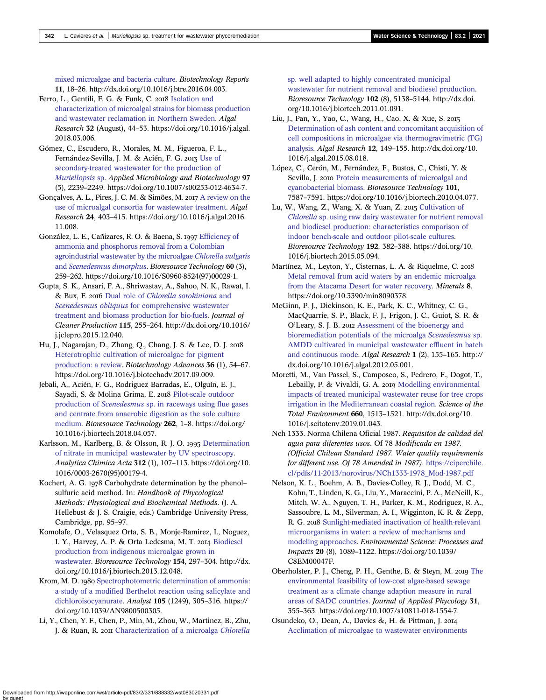<span id="page-11-0"></span>[mixed microalgae and bacteria culture.](http://dx.doi.org/10.1016/j.btre.2016.04.003) Biotechnology Reports 11, 18–26. http://dx.doi.org/10.1016/j.btre.2016.04.003.

- Ferro, L., Gentili, F. G. & Funk, C. 2018 [Isolation and](http://dx.doi.org/10.1016/j.algal.2018.03.006) [characterization of microalgal strains for biomass production](http://dx.doi.org/10.1016/j.algal.2018.03.006) [and wastewater reclamation in Northern Sweden](http://dx.doi.org/10.1016/j.algal.2018.03.006). Algal Research 32 (August), 44–53. https://doi.org/10.1016/j.algal. 2018.03.006.
- Gómez, C., Escudero, R., Morales, M. M., Figueroa, F. L., Fernández-Sevilla, J. M. & Acién, F. G. 2013 [Use of](http://dx.doi.org/10.1007/s00253-012-4634-7) [secondary-treated wastewater for the production of](http://dx.doi.org/10.1007/s00253-012-4634-7) [Muriellopsis](http://dx.doi.org/10.1007/s00253-012-4634-7) sp. Applied Microbiology and Biotechnology 97 (5), 2239–2249. https://doi.org/10.1007/s00253-012-4634-7.
- Gonçalves, A. L., Pires, J. C. M. & Simões, M. 2017 [A review on the](http://dx.doi.org/10.1016/j.algal.2016.11.008) [use of microalgal consortia for wastewater treatment](http://dx.doi.org/10.1016/j.algal.2016.11.008). Algal Research 24, 403–415. https://doi.org/10.1016/j.algal.2016. 11.008.
- González, L. E., Cañizares, R. O. & Baena, S. 1997 [Efficiency of](http://dx.doi.org/10.1016/S0960-8524(97)00029-1) [ammonia and phosphorus removal from a Colombian](http://dx.doi.org/10.1016/S0960-8524(97)00029-1) [agroindustrial wastewater by the microalgae](http://dx.doi.org/10.1016/S0960-8524(97)00029-1) Chlorella vulgaris and [Scenedesmus dimorphus](http://dx.doi.org/10.1016/S0960-8524(97)00029-1). Bioresource Technology 60 (3), 259–262. https://doi.org/10.1016/S0960-8524(97)00029-1.
- Gupta, S. K., Ansari, F. A., Shriwastav, A., Sahoo, N. K., Rawat, I. & Bux, F. 2016 Dual role of [Chlorella sorokiniana](http://dx.doi.org/10.1016/j.jclepro.2015.12.040) and Scenedesmus obliquus [for comprehensive wastewater](http://dx.doi.org/10.1016/j.jclepro.2015.12.040) [treatment and biomass production for bio-fuels.](http://dx.doi.org/10.1016/j.jclepro.2015.12.040) Journal of Cleaner Production 115, 255–264. http://dx.doi.org/10.1016/ j.jclepro.2015.12.040.
- Hu, J., Nagarajan, D., Zhang, Q., Chang, J. S. & Lee, D. J. [Heterotrophic cultivation of microalgae for pigment](http://dx.doi.org/10.1016/j.biotechadv.2017.09.009) [production: a review.](http://dx.doi.org/10.1016/j.biotechadv.2017.09.009) Biotechnology Advances 36 (1), 54–67. https://doi.org/10.1016/j.biotechadv.2017.09.009.
- Jebali, A., Acién, F. G., Rodriguez Barradas, E., Olguín, E. J., Sayadi, S. & Molina Grima, E. 2018 [Pilot-scale outdoor](http://dx.doi.org/10.1016/j.biortech.2018.04.057) production of Scenedesmus [sp. in raceways using flue gases](http://dx.doi.org/10.1016/j.biortech.2018.04.057) [and centrate from anaerobic digestion as the sole culture](http://dx.doi.org/10.1016/j.biortech.2018.04.057) [medium.](http://dx.doi.org/10.1016/j.biortech.2018.04.057) Bioresource Technology 262, 1–8. https://doi.org/ 10.1016/j.biortech.2018.04.057.
- Karlsson, M., Karlberg, B. & Olsson, R. J. O. 1995 [Determination](http://dx.doi.org/10.1016/0003-2670(95)00179-4) [of nitrate in municipal wastewater by UV spectroscopy.](http://dx.doi.org/10.1016/0003-2670(95)00179-4) Analytica Chimica Acta 312 (1), 107–113. https://doi.org/10. 1016/0003-2670(95)00179-4.
- Kochert, A. G. 1978 Carbohydrate determination by the phenol– sulfuric acid method. In: Handbook of Phycological Methods: Physiological and Biochemical Methods. (J. A. Hellebust & J. S. Craigie, eds.) Cambridge University Press, Cambridge, pp. 95–97.
- Komolafe, O., Velasquez Orta, S. B., Monje-Ramirez, I., Noguez, I. Y., Harvey, A. P. & Orta Ledesma, M. T. 2014 [Biodiesel](http://dx.doi.org/10.1016/j.biortech.2013.12.048) [production from indigenous microalgae grown in](http://dx.doi.org/10.1016/j.biortech.2013.12.048) [wastewater.](http://dx.doi.org/10.1016/j.biortech.2013.12.048) Bioresource Technology 154, 297–304. http://dx. doi.org/10.1016/j.biortech.2013.12.048.
- Krom, M. D. 1980 [Spectrophotometric determination of ammonia:](http://dx.doi.org/10.1039/an9800500305) [a study of a modified Berthelot reaction using salicylate and](http://dx.doi.org/10.1039/an9800500305) [dichloroisocyanurate.](http://dx.doi.org/10.1039/an9800500305) Analyst 105 (1249), 305-316. https:// doi.org/10.1039/AN9800500305.
- Li, Y., Chen, Y. F., Chen, P., Min, M., Zhou, W., Martinez, B., Zhu, J. & Ruan, R. 2011 [Characterization of a microalga](http://dx.doi.org/10.1016/j.biortech.2011.01.091) Chlorella

[sp. well adapted to highly concentrated municipal](http://dx.doi.org/10.1016/j.biortech.2011.01.091) [wastewater for nutrient removal and biodiesel production](http://dx.doi.org/10.1016/j.biortech.2011.01.091). Bioresource Technology 102 (8), 5138–5144. http://dx.doi. org/10.1016/j.biortech.2011.01.091.

- Liu, J., Pan, Y., Yao, C., Wang, H., Cao, X. & Xue, S. [Determination of ash content and concomitant acquisition of](http://dx.doi.org/10.1016/j.algal.2015.08.018) [cell compositions in microalgae via thermogravimetric \(TG\)](http://dx.doi.org/10.1016/j.algal.2015.08.018) [analysis.](http://dx.doi.org/10.1016/j.algal.2015.08.018) Algal Research 12, 149–155. http://dx.doi.org/10. 1016/j.algal.2015.08.018.
- López, C., Cerón, M., Fernández, F., Bustos, C., Chisti, Y. & Sevilla, J. 2010 [Protein measurements of microalgal and](http://dx.doi.org/10.1016/j.biortech.2010.04.077) [cyanobacterial biomass.](http://dx.doi.org/10.1016/j.biortech.2010.04.077) Bioresource Technology 101, 7587–7591. https://doi.org/10.1016/j.biortech.2010.04.077.
- Lu, W., Wang, Z., Wang, X. & Yuan, Z. 2015 [Cultivation of](http://dx.doi.org/10.1016/j.biortech.2015.05.094) Chlorella [sp. using raw dairy wastewater for nutrient removal](http://dx.doi.org/10.1016/j.biortech.2015.05.094) [and biodiesel production: characteristics comparison of](http://dx.doi.org/10.1016/j.biortech.2015.05.094) [indoor bench-scale and outdoor pilot-scale cultures](http://dx.doi.org/10.1016/j.biortech.2015.05.094). Bioresource Technology 192, 382–388. https://doi.org/10. 1016/j.biortech.2015.05.094.
- Martínez, M., Leyton, Y., Cisternas, L. A. & Riquelme, C. [Metal removal from acid waters by an endemic microalga](http://dx.doi.org/10.3390/min8090378) [from the Atacama Desert for water recovery](http://dx.doi.org/10.3390/min8090378). Minerals 8. https://doi.org/10.3390/min8090378.
- McGinn, P. J., Dickinson, K. E., Park, K. C., Whitney, C. G., MacQuarrie, S. P., Black, F. J., Frigon, J. C., Guiot, S. R. & O'Leary, S. J. B. 2012 [Assessment of the bioenergy and](http://dx.doi.org/10.1016/j.algal.2012.05.001) [bioremediation potentials of the microalga](http://dx.doi.org/10.1016/j.algal.2012.05.001) Scenedesmus sp. [AMDD cultivated in municipal wastewater effluent in batch](http://dx.doi.org/10.1016/j.algal.2012.05.001) [and continuous mode.](http://dx.doi.org/10.1016/j.algal.2012.05.001) Algal Research 1 (2), 155–165. http:// dx.doi.org/10.1016/j.algal.2012.05.001.
- Moretti, M., Van Passel, S., Camposeo, S., Pedrero, F., Dogot, T., Lebailly, P. & Vivaldi, G. A. 2019 [Modelling environmental](http://dx.doi.org/10.1016/j.scitotenv.2019.01.043) [impacts of treated municipal wastewater reuse for tree crops](http://dx.doi.org/10.1016/j.scitotenv.2019.01.043) [irrigation in the Mediterranean coastal region.](http://dx.doi.org/10.1016/j.scitotenv.2019.01.043) Science of the Total Environment 660, 1513–1521. http://dx.doi.org/10. 1016/j.scitotenv.2019.01.043.
- Nch 1333. Norma Chilena Oficial 1987. Requisitos de calidad del agua para diferentes usos. Of 78 Modificada en 1987. (Official Chilean Standard 1987. Water quality requirements for different use. Of 78 Amended in 1987). [https://ciperchile.](https://ciperchile.cl/pdfs/11-2013/norovirus/NCh1333-1978_Mod-1987.pdf) [cl/pdfs/11-2013/norovirus/NCh1333-1978\\_Mod-1987.pdf](https://ciperchile.cl/pdfs/11-2013/norovirus/NCh1333-1978_Mod-1987.pdf)
- Nelson, K. L., Boehm, A. B., Davies-Colley, R. J., Dodd, M. C., Kohn, T., Linden, K. G., Liu, Y., Maraccini, P. A., McNeill, K., Mitch, W. A., Nguyen, T. H., Parker, K. M., Rodriguez, R. A., Sassoubre, L. M., Silverman, A. I., Wigginton, K. R. & Zepp, R. G. 2018 [Sunlight-mediated inactivation of health-relevant](http://dx.doi.org/10.1039/C8EM00047F) [microorganisms in water: a review of mechanisms and](http://dx.doi.org/10.1039/C8EM00047F) [modeling approaches](http://dx.doi.org/10.1039/C8EM00047F). Environmental Science: Processes and Impacts 20 (8), 1089–1122. https://doi.org/10.1039/ C8EM00047F.
- Oberholster, P. J., Cheng, P. H., Genthe, B. & Steyn, M. 2019 [The](http://dx.doi.org/10.1007/s10811-018-1554-7) [environmental feasibility of low-cost algae-based sewage](http://dx.doi.org/10.1007/s10811-018-1554-7) [treatment as a climate change adaption measure in rural](http://dx.doi.org/10.1007/s10811-018-1554-7) [areas of SADC countries](http://dx.doi.org/10.1007/s10811-018-1554-7). Journal of Applied Phycology 31, 355–363. https://doi.org/10.1007/s10811-018-1554-7.
- Osundeko, O., Dean, A., Davies &, H. & Pittman, J. [Acclimation of microalgae to wastewater environments](http://dx.doi.org/10.1093/pcp/pcu113)